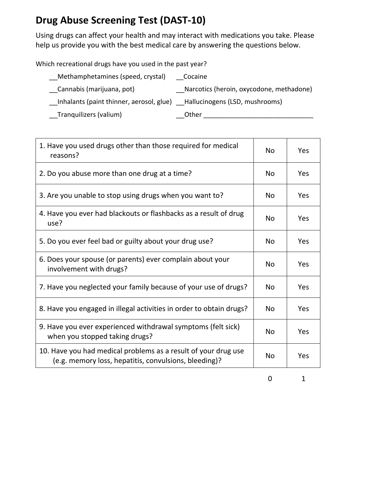## **Drug Abuse Screening Test (DAST‐10)**

Using drugs can affect your health and may interact with medications you take. Please help us provide you with the best medical care by answering the questions below.

Which recreational drugs have you used in the past year?

| _Methamphetamines (speed, crystal)                                         | Cocaine                                    |
|----------------------------------------------------------------------------|--------------------------------------------|
| Cannabis (marijuana, pot)                                                  | __Narcotics (heroin, oxycodone, methadone) |
| Inhalants (paint thinner, aerosol, glue)<br>Lallucinogens (LSD, mushrooms) |                                            |
| __Tranquilizers (valium)                                                   | _Other                                     |

| 1. Have you used drugs other than those required for medical<br>reasons?                                                |           | Yes |
|-------------------------------------------------------------------------------------------------------------------------|-----------|-----|
| 2. Do you abuse more than one drug at a time?                                                                           | <b>No</b> | Yes |
| 3. Are you unable to stop using drugs when you want to?                                                                 | <b>No</b> | Yes |
| 4. Have you ever had blackouts or flashbacks as a result of drug<br>use?                                                | No        | Yes |
| 5. Do you ever feel bad or guilty about your drug use?                                                                  | <b>No</b> | Yes |
| 6. Does your spouse (or parents) ever complain about your<br>involvement with drugs?                                    | No        | Yes |
| 7. Have you neglected your family because of your use of drugs?                                                         | No        | Yes |
| 8. Have you engaged in illegal activities in order to obtain drugs?                                                     | <b>No</b> | Yes |
| 9. Have you ever experienced withdrawal symptoms (felt sick)<br>when you stopped taking drugs?                          |           | Yes |
| 10. Have you had medical problems as a result of your drug use<br>(e.g. memory loss, hepatitis, convulsions, bleeding)? |           | Yes |

0 1